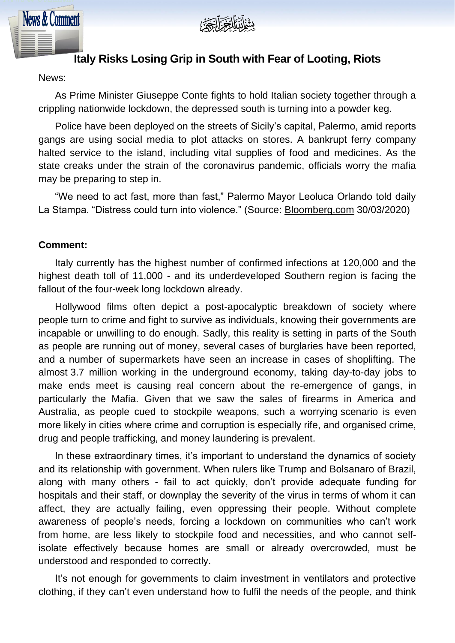



## **Italy Risks Losing Grip in South with Fear of Looting, Riots**

News:

As Prime Minister Giuseppe Conte fights to hold Italian society together through a crippling nationwide lockdown, the depressed south is turning into a powder keg.

Police have been deployed on the streets of Sicily's capital, Palermo, amid reports gangs are using social media to plot attacks on stores. A bankrupt ferry company halted service to the island, including vital supplies of food and medicines. As the state creaks under the strain of the coronavirus pandemic, officials worry the mafia may be preparing to step in.

"We need to act fast, more than fast," Palermo Mayor Leoluca Orlando told daily La Stampa. "Distress could turn into violence." (Source: [Bloomberg.com](http://bloomberg.com/) 30/03/2020)

## **Comment:**

Italy currently has the highest number of confirmed infections at 120,000 and the highest death toll of 11,000 - and its underdeveloped Southern region is facing the fallout of the four-week long lockdown already.

Hollywood films often depict a post-apocalyptic breakdown of society where people turn to crime and fight to survive as individuals, knowing their governments are incapable or unwilling to do enough. Sadly, this reality is setting in parts of the South as people are running out of money, several cases of burglaries have been reported, and a number of supermarkets have seen an increase in cases of shoplifting. The almost 3.7 million working in the underground economy, taking day-to-day jobs to make ends meet is causing real concern about the re-emergence of gangs, in particularly the Mafia. Given that we saw the sales of firearms in America and Australia, as people cued to stockpile weapons, such a worrying scenario is even more likely in cities where crime and corruption is especially rife, and organised crime, drug and people trafficking, and money laundering is prevalent.

In these extraordinary times, it's important to understand the dynamics of society and its relationship with government. When rulers like Trump and Bolsanaro of Brazil, along with many others - fail to act quickly, don't provide adequate funding for hospitals and their staff, or downplay the severity of the virus in terms of whom it can affect, they are actually failing, even oppressing their people. Without complete awareness of people's needs, forcing a lockdown on communities who can't work from home, are less likely to stockpile food and necessities, and who cannot selfisolate effectively because homes are small or already overcrowded, must be understood and responded to correctly.

It's not enough for governments to claim investment in ventilators and protective clothing, if they can't even understand how to fulfil the needs of the people, and think